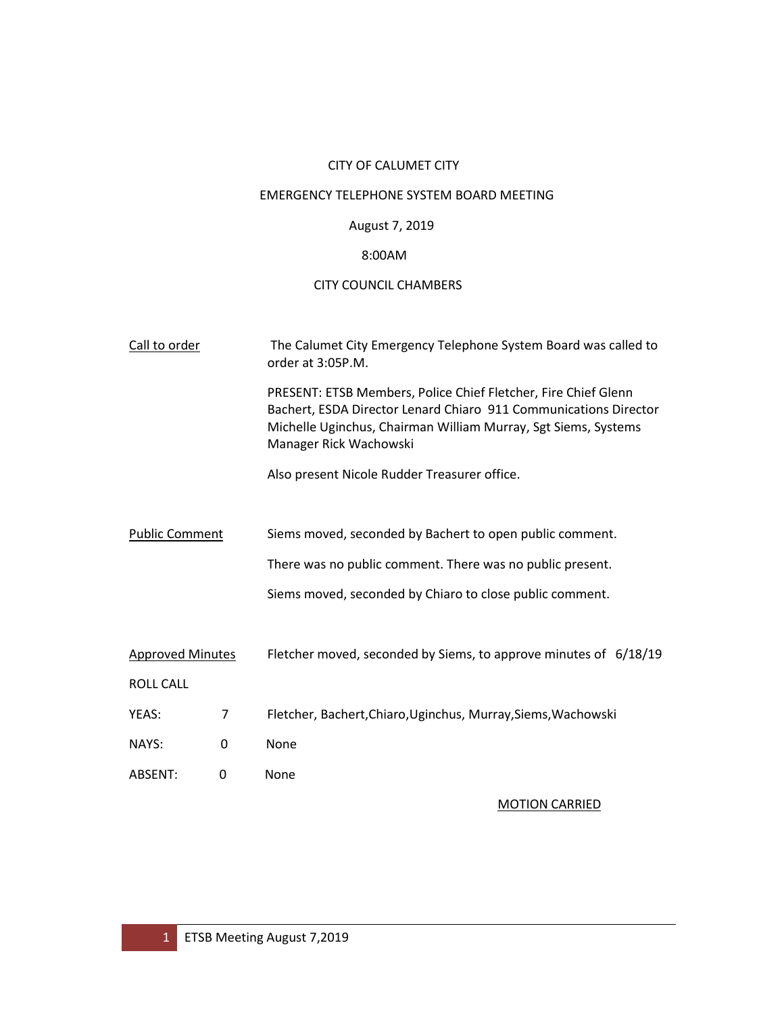# CITY OF CALUMET CITY

# EMERGENCY TELEPHONE SYSTEM BOARD MEETING

# August 7, 2019

# 8:00AM

# CITY COUNCIL CHAMBERS

| Call to order           |                | The Calumet City Emergency Telephone System Board was called to<br>order at 3:05P.M.                                                                                                                                           |
|-------------------------|----------------|--------------------------------------------------------------------------------------------------------------------------------------------------------------------------------------------------------------------------------|
|                         |                | PRESENT: ETSB Members, Police Chief Fletcher, Fire Chief Glenn<br>Bachert, ESDA Director Lenard Chiaro 911 Communications Director<br>Michelle Uginchus, Chairman William Murray, Sgt Siems, Systems<br>Manager Rick Wachowski |
|                         |                | Also present Nicole Rudder Treasurer office.                                                                                                                                                                                   |
|                         |                |                                                                                                                                                                                                                                |
| <b>Public Comment</b>   |                | Siems moved, seconded by Bachert to open public comment.                                                                                                                                                                       |
|                         |                | There was no public comment. There was no public present.                                                                                                                                                                      |
|                         |                | Siems moved, seconded by Chiaro to close public comment.                                                                                                                                                                       |
| <b>Approved Minutes</b> |                | Fletcher moved, seconded by Siems, to approve minutes of 6/18/19                                                                                                                                                               |
| <b>ROLL CALL</b>        |                |                                                                                                                                                                                                                                |
| YEAS:                   | $\overline{7}$ | Fletcher, Bachert, Chiaro, Uginchus, Murray, Siems, Wachowski                                                                                                                                                                  |
| NAYS:                   | 0              | None                                                                                                                                                                                                                           |
| ABSENT:                 | 0              | None                                                                                                                                                                                                                           |

# MOTION CARRIED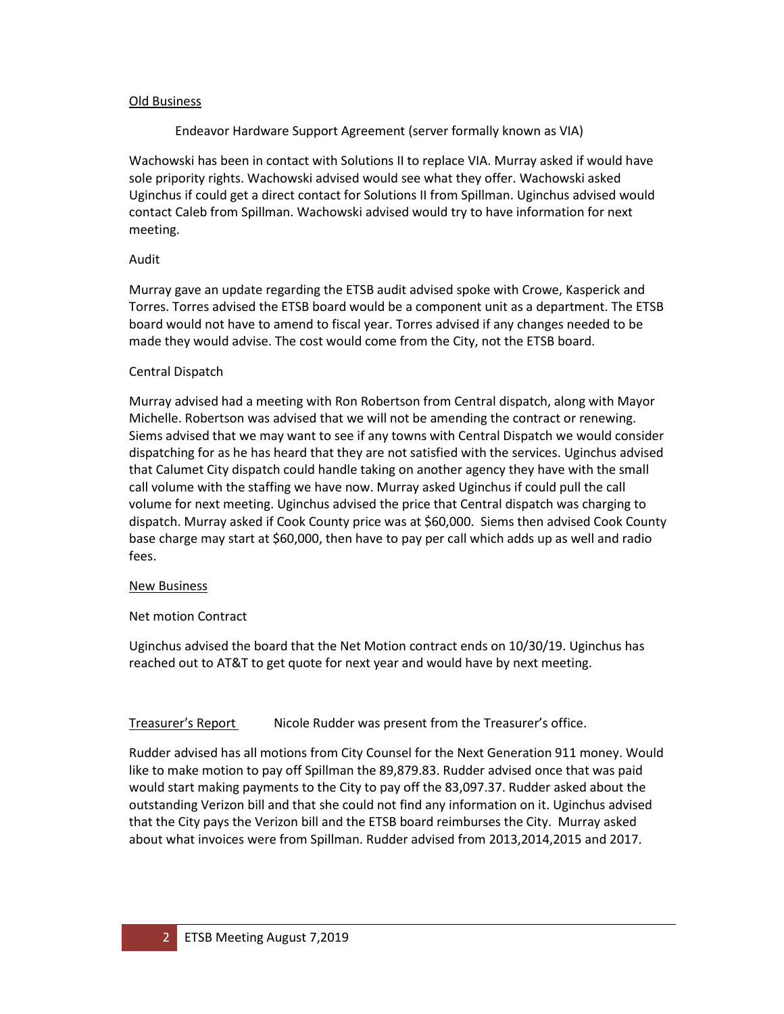## Old Business

## Endeavor Hardware Support Agreement (server formally known as VIA)

Wachowski has been in contact with Solutions II to replace VIA. Murray asked if would have sole pripority rights. Wachowski advised would see what they offer. Wachowski asked Uginchus if could get a direct contact for Solutions II from Spillman. Uginchus advised would contact Caleb from Spillman. Wachowski advised would try to have information for next meeting.

#### Audit

Murray gave an update regarding the ETSB audit advised spoke with Crowe, Kasperick and Torres. Torres advised the ETSB board would be a component unit as a department. The ETSB board would not have to amend to fiscal year. Torres advised if any changes needed to be made they would advise. The cost would come from the City, not the ETSB board.

## Central Dispatch

Murray advised had a meeting with Ron Robertson from Central dispatch, along with Mayor Michelle. Robertson was advised that we will not be amending the contract or renewing. Siems advised that we may want to see if any towns with Central Dispatch we would consider dispatching for as he has heard that they are not satisfied with the services. Uginchus advised that Calumet City dispatch could handle taking on another agency they have with the small call volume with the staffing we have now. Murray asked Uginchus if could pull the call volume for next meeting. Uginchus advised the price that Central dispatch was charging to dispatch. Murray asked if Cook County price was at \$60,000. Siems then advised Cook County base charge may start at \$60,000, then have to pay per call which adds up as well and radio fees.

#### New Business

## Net motion Contract

Uginchus advised the board that the Net Motion contract ends on 10/30/19. Uginchus has reached out to AT&T to get quote for next year and would have by next meeting.

## Treasurer's Report Nicole Rudder was present from the Treasurer's office.

Rudder advised has all motions from City Counsel for the Next Generation 911 money. Would like to make motion to pay off Spillman the 89,879.83. Rudder advised once that was paid would start making payments to the City to pay off the 83,097.37. Rudder asked about the outstanding Verizon bill and that she could not find any information on it. Uginchus advised that the City pays the Verizon bill and the ETSB board reimburses the City. Murray asked about what invoices were from Spillman. Rudder advised from 2013,2014,2015 and 2017.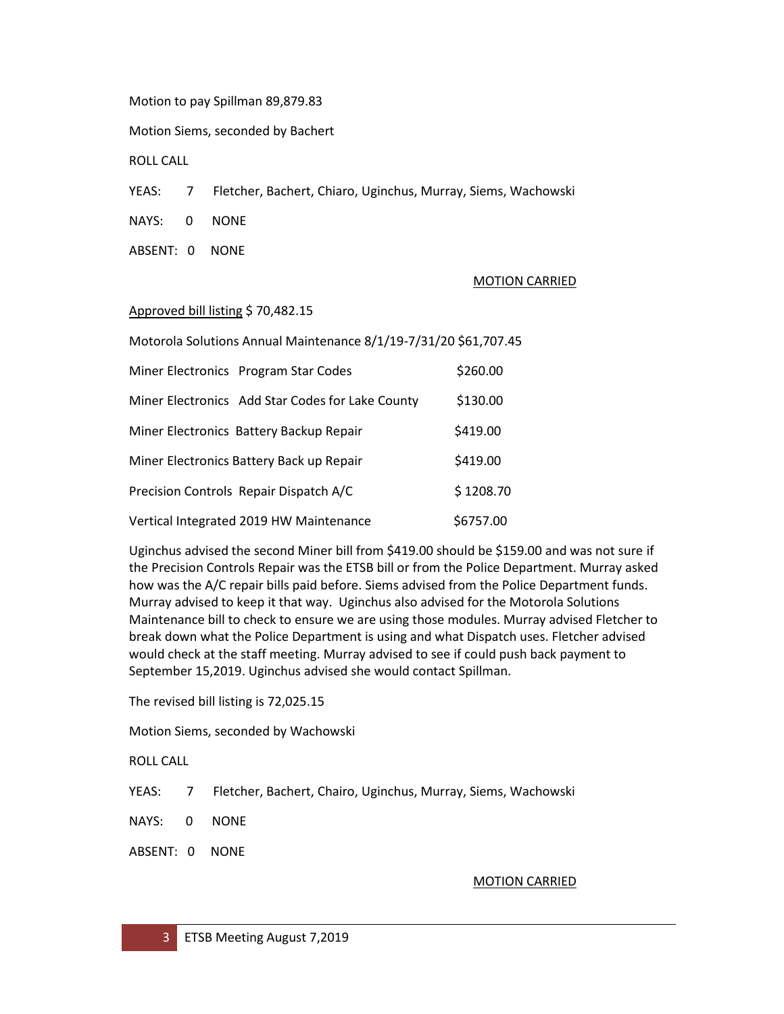Motion to pay Spillman 89,879.83

Motion Siems, seconded by Bachert

ROLL CALL

YEAS: 7 Fletcher, Bachert, Chiaro, Uginchus, Murray, Siems, Wachowski

NAYS: 0 NONE

ABSENT: 0 NONE

# MOTION CARRIED

## Approved bill listing \$ 70,482.15

| Motorola Solutions Annual Maintenance 8/1/19-7/31/20 \$61,707.45 |           |  |  |
|------------------------------------------------------------------|-----------|--|--|
| Miner Electronics Program Star Codes                             | \$260.00  |  |  |
| Miner Electronics Add Star Codes for Lake County                 | \$130.00  |  |  |
| Miner Electronics Battery Backup Repair                          | \$419.00  |  |  |
| Miner Electronics Battery Back up Repair                         | \$419.00  |  |  |
| Precision Controls Repair Dispatch A/C                           | \$1208.70 |  |  |
| Vertical Integrated 2019 HW Maintenance                          | \$6757.00 |  |  |

Uginchus advised the second Miner bill from \$419.00 should be \$159.00 and was not sure if the Precision Controls Repair was the ETSB bill or from the Police Department. Murray asked how was the A/C repair bills paid before. Siems advised from the Police Department funds. Murray advised to keep it that way. Uginchus also advised for the Motorola Solutions Maintenance bill to check to ensure we are using those modules. Murray advised Fletcher to break down what the Police Department is using and what Dispatch uses. Fletcher advised would check at the staff meeting. Murray advised to see if could push back payment to September 15,2019. Uginchus advised she would contact Spillman.

The revised bill listing is 72,025.15

Motion Siems, seconded by Wachowski

ROLL CALL

YEAS: 7 Fletcher, Bachert, Chairo, Uginchus, Murray, Siems, Wachowski

NAYS: 0 NONE

ABSENT: 0 NONE

MOTION CARRIED